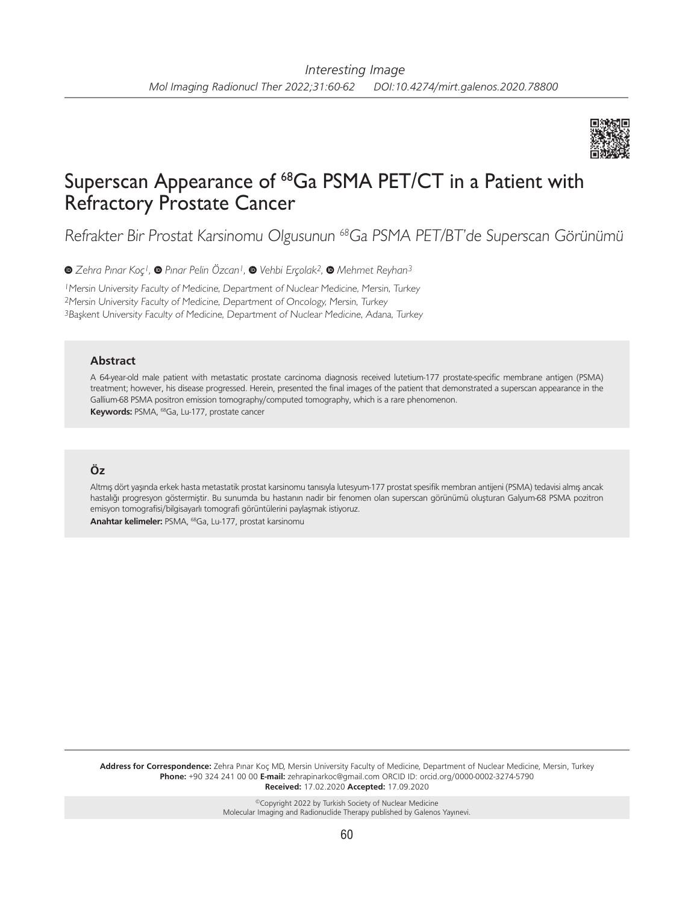

# Superscan Appearance of 68Ga PSMA PET/CT in a Patient with Refractory Prostate Cancer

Refrakter Bir Prostat Karsinomu Olgusunun <sup>68</sup>Ga PSMA PET/BT'de Superscan Görünümü

*Zehra Pınar Koç1,Pınar Pelin Özcan1, Vehbi Erçolak2,Mehmet Reyhan3*

<sup>1</sup>Mersin University Faculty of Medicine, Department of Nuclear Medicine, Mersin, Turkey <sup>2</sup>Mersin University Faculty of Medicine, Department of Oncology, Mersin, Turkey 3Başkent University Faculty of Medicine, Department of Nuclear Medicine, Adana, Turkey

#### **Abstract**

A 64-year-old male patient with metastatic prostate carcinoma diagnosis received lutetium-177 prostate-specific membrane antigen (PSMA) treatment; however, his disease progressed. Herein, presented the final images of the patient that demonstrated a superscan appearance in the Gallium-68 PSMA positron emission tomography/computed tomography, which is a rare phenomenon. **Keywords:** PSMA, 68Ga, Lu-177, prostate cancer

## **Öz**

Altmış dört yaşında erkek hasta metastatik prostat karsinomu tanısıyla lutesyum-177 prostat spesifik membran antijeni (PSMA) tedavisi almış ancak hastalığı progresyon göstermiştir. Bu sunumda bu hastanın nadir bir fenomen olan superscan görünümü oluşturan Galyum-68 PSMA pozitron emisyon tomografisi/bilgisayarlı tomografi görüntülerini paylaşmak istiyoruz. **Anahtar kelimeler:** PSMA, 68Ga, Lu-177, prostat karsinomu

**Address for Correspondence:** Zehra Pınar Koç MD, Mersin University Faculty of Medicine, Department of Nuclear Medicine, Mersin, Turkey **Phone:** +90 324 241 00 00 **E-mail:** zehrapinarkoc@gmail.com ORCID ID: orcid.org/0000-0002-3274-5790 **Received:** 17.02.2020 **Accepted:** 17.09.2020

> ©Copyright 2022 by Turkish Society of Nuclear Medicine Molecular Imaging and Radionuclide Therapy published by Galenos Yayınevi.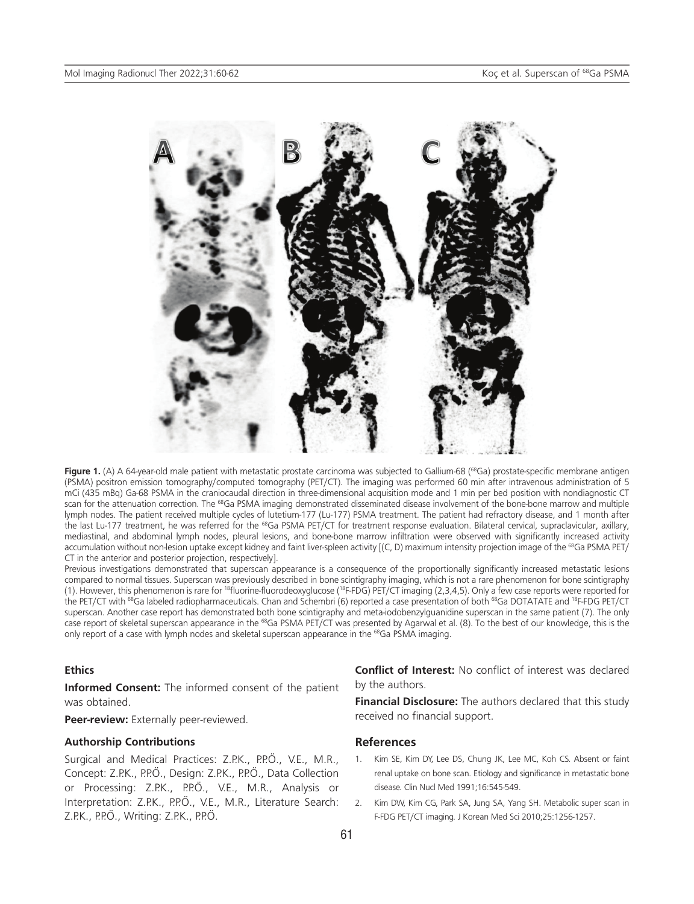

Figure 1. (A) A 64-year-old male patient with metastatic prostate carcinoma was subjected to Gallium-68 (<sup>68</sup>Ga) prostate-specific membrane antigen (PSMA) positron emission tomography/computed tomography (PET/CT). The imaging was performed 60 min after intravenous administration of 5 mCi (435 mBq) Ga-68 PSMA in the craniocaudal direction in three-dimensional acquisition mode and 1 min per bed position with nondiagnostic CT scan for the attenuation correction. The <sup>68</sup>Ga PSMA imaging demonstrated disseminated disease involvement of the bone-bone marrow and multiple lymph nodes. The patient received multiple cycles of lutetium-177 (Lu-177) PSMA treatment. The patient had refractory disease, and 1 month after the last Lu-177 treatment, he was referred for the <sup>68</sup>Ga PSMA PET/CT for treatment response evaluation. Bilateral cervical, supraclavicular, axillary, mediastinal, and abdominal lymph nodes, pleural lesions, and bone-bone marrow infiltration were observed with significantly increased activity accumulation without non-lesion uptake except kidney and faint liver-spleen activity [(C, D) maximum intensity projection image of the <sup>68</sup>Ga PSMA PET/ CT in the anterior and posterior projection, respectively].

Previous investigations demonstrated that superscan appearance is a consequence of the proportionally significantly increased metastatic lesions compared to normal tissues. Superscan was previously described in bone scintigraphy imaging, which is not a rare phenomenon for bone scintigraphy (1). However, this phenomenon is rare for <sup>18</sup>fluorine-fluorodeoxyglucose (<sup>18</sup>F-FDG) PET/CT imaging (2,3,4,5). Only a few case reports were reported for the PET/CT with <sup>68</sup>Ga labeled radiopharmaceuticals. Chan and Schembri (6) reported a case presentation of both <sup>68</sup>Ga DOTATATE and <sup>18</sup>F-FDG PET/CT superscan. Another case report has demonstrated both bone scintigraphy and meta-iodobenzylguanidine superscan in the same patient (7). The only case report of skeletal superscan appearance in the <sup>68</sup>Ga PSMA PET/CT was presented by Agarwal et al. (8). To the best of our knowledge, this is the only report of a case with lymph nodes and skeletal superscan appearance in the <sup>68</sup>Ga PSMA imaging.

#### **Ethics**

**Informed Consent:** The informed consent of the patient was obtained.

**Peer-review:** Externally peer-reviewed.

#### **Authorship Contributions**

Surgical and Medical Practices: Z.P.K., P.P.Ö., V.E., M.R., Concept: Z.P.K., P.P.Ö., Design: Z.P.K., P.P.Ö., Data Collection or Processing: Z.P.K., P.P.Ö., V.E., M.R., Analysis or Interpretation: Z.P.K., P.P.Ö., V.E., M.R., Literature Search: Z.P.K., P.P.O., Writing: Z.P.K., P.P.O.

**Conflict of Interest:** No conflict of interest was declared by the authors.

**Financial Disclosure:** The authors declared that this study received no financial support.

### **References**

- Kim SE, Kim DY, Lee DS, Chung JK, Lee MC, Koh CS. Absent or faint renal uptake on bone scan. Etiology and significance in metastatic bone disease. Clin Nucl Med 1991;16:545-549.
- 2. Kim DW, Kim CG, Park SA, Jung SA, Yang SH. Metabolic super scan in F-FDG PET/CT imaging. J Korean Med Sci 2010;25:1256-1257.